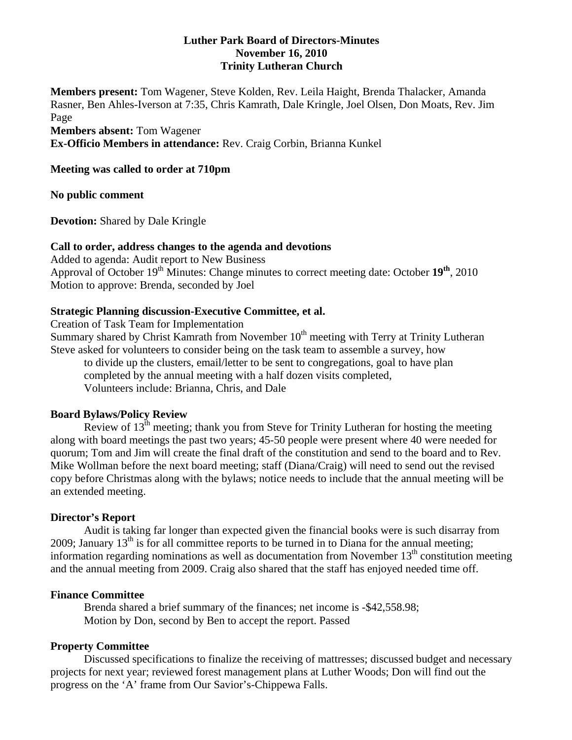# **Luther Park Board of Directors-Minutes November 16, 2010 Trinity Lutheran Church**

**Members present:** Tom Wagener, Steve Kolden, Rev. Leila Haight, Brenda Thalacker, Amanda Rasner, Ben Ahles-Iverson at 7:35, Chris Kamrath, Dale Kringle, Joel Olsen, Don Moats, Rev. Jim Page **Members absent:** Tom Wagener

**Ex-Officio Members in attendance:** Rev. Craig Corbin, Brianna Kunkel

### **Meeting was called to order at 710pm**

**No public comment** 

**Devotion:** Shared by Dale Kringle

### **Call to order, address changes to the agenda and devotions**

Added to agenda: Audit report to New Business Approval of October 19th Minutes: Change minutes to correct meeting date: October **19th**, 2010 Motion to approve: Brenda, seconded by Joel

### **Strategic Planning discussion-Executive Committee, et al.**

Creation of Task Team for Implementation

Summary shared by Christ Kamrath from November  $10<sup>th</sup>$  meeting with Terry at Trinity Lutheran Steve asked for volunteers to consider being on the task team to assemble a survey, how

 to divide up the clusters, email/letter to be sent to congregations, goal to have plan completed by the annual meeting with a half dozen visits completed, Volunteers include: Brianna, Chris, and Dale

# **Board Bylaws/Policy Review**

Review of  $13<sup>th</sup>$  meeting; thank you from Steve for Trinity Lutheran for hosting the meeting along with board meetings the past two years; 45-50 people were present where 40 were needed for quorum; Tom and Jim will create the final draft of the constitution and send to the board and to Rev. Mike Wollman before the next board meeting; staff (Diana/Craig) will need to send out the revised copy before Christmas along with the bylaws; notice needs to include that the annual meeting will be an extended meeting.

#### **Director's Report**

Audit is taking far longer than expected given the financial books were is such disarray from 2009; January  $13<sup>th</sup>$  is for all committee reports to be turned in to Diana for the annual meeting; information regarding nominations as well as documentation from November  $13<sup>th</sup>$  constitution meeting and the annual meeting from 2009. Craig also shared that the staff has enjoyed needed time off.

#### **Finance Committee**

 Brenda shared a brief summary of the finances; net income is -\$42,558.98; Motion by Don, second by Ben to accept the report. Passed

#### **Property Committee**

 Discussed specifications to finalize the receiving of mattresses; discussed budget and necessary projects for next year; reviewed forest management plans at Luther Woods; Don will find out the progress on the 'A' frame from Our Savior's-Chippewa Falls.